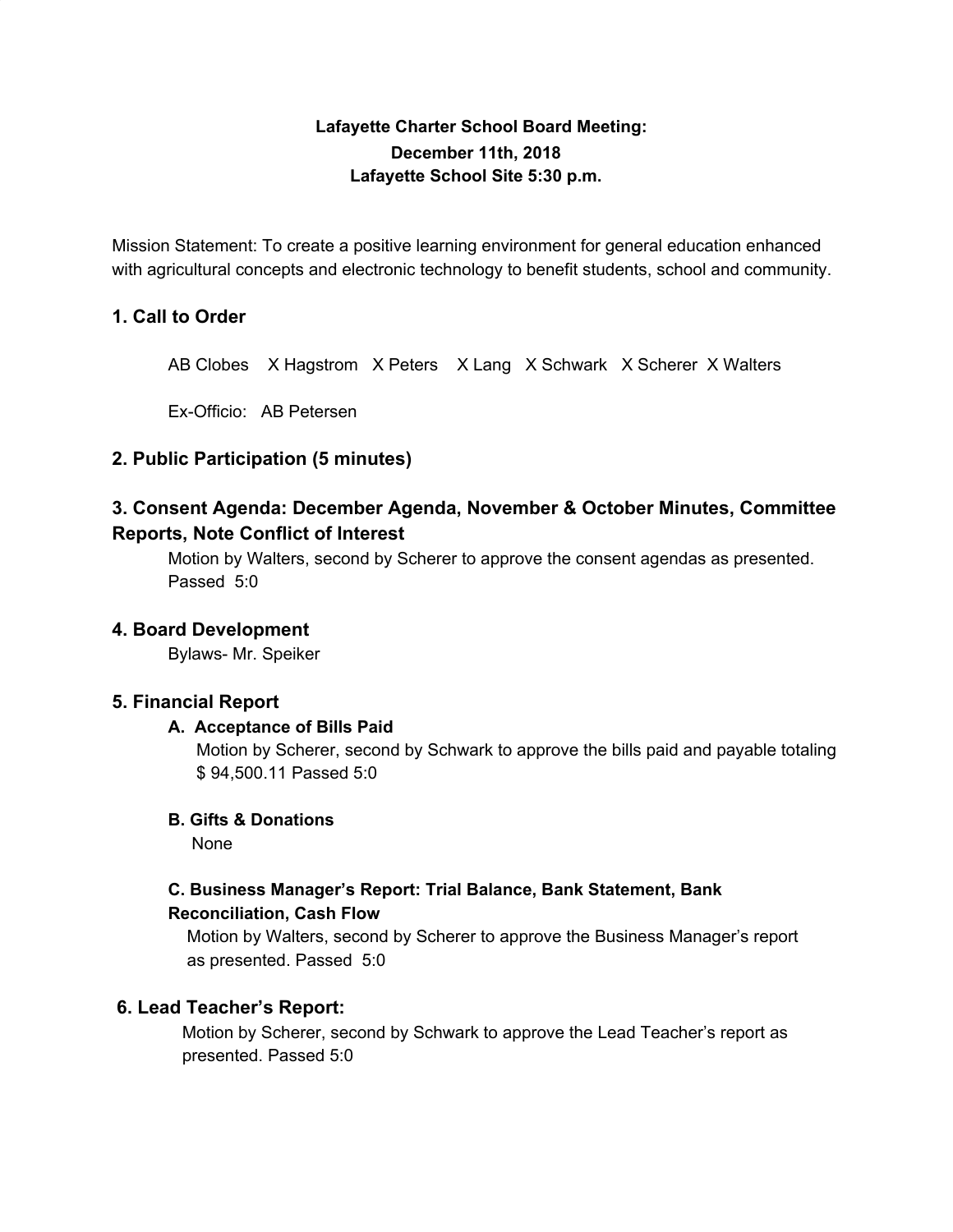# **Lafayette Charter School Board Meeting: December 11th, 2018 Lafayette School Site 5:30 p.m.**

Mission Statement: To create a positive learning environment for general education enhanced with agricultural concepts and electronic technology to benefit students, school and community.

# **1. Call to Order**

AB Clobes X Hagstrom X Peters X Lang X Schwark X Scherer X Walters

Ex-Officio: AB Petersen

# **2. Public Participation (5 minutes)**

# **3. Consent Agenda: December Agenda, November & October Minutes, Committee Reports, Note Conflict of Interest**

Motion by Walters, second by Scherer to approve the consent agendas as presented. Passed 5:0

# **4. Board Development**

Bylaws- Mr. Speiker

# **5. Financial Report**

# **A. Acceptance of Bills Paid**

Motion by Scherer, second by Schwark to approve the bills paid and payable totaling \$ 94,500.11 Passed 5:0

# **B. Gifts & Donations**

None

# **C. Business Manager's Report: Trial Balance, Bank Statement, Bank Reconciliation, Cash Flow**

Motion by Walters, second by Scherer to approve the Business Manager's report as presented. Passed 5:0

# **6. Lead Teacher's Report:**

Motion by Scherer, second by Schwark to approve the Lead Teacher's report as presented. Passed 5:0